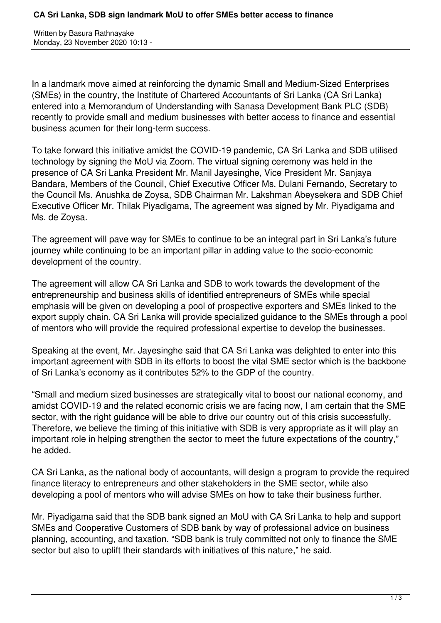Written by Basura Rathnayake Monday, 23 November 2020 10:13 -

In a landmark move aimed at reinforcing the dynamic Small and Medium-Sized Enterprises (SMEs) in the country, the Institute of Chartered Accountants of Sri Lanka (CA Sri Lanka) entered into a Memorandum of Understanding with Sanasa Development Bank PLC (SDB) recently to provide small and medium businesses with better access to finance and essential business acumen for their long-term success.

To take forward this initiative amidst the COVID-19 pandemic, CA Sri Lanka and SDB utilised technology by signing the MoU via Zoom. The virtual signing ceremony was held in the presence of CA Sri Lanka President Mr. Manil Jayesinghe, Vice President Mr. Sanjaya Bandara, Members of the Council, Chief Executive Officer Ms. Dulani Fernando, Secretary to the Council Ms. Anushka de Zoysa, SDB Chairman Mr. Lakshman Abeysekera and SDB Chief Executive Officer Mr. Thilak Piyadigama, The agreement was signed by Mr. Piyadigama and Ms. de Zoysa.

The agreement will pave way for SMEs to continue to be an integral part in Sri Lanka's future journey while continuing to be an important pillar in adding value to the socio-economic development of the country.

The agreement will allow CA Sri Lanka and SDB to work towards the development of the entrepreneurship and business skills of identified entrepreneurs of SMEs while special emphasis will be given on developing a pool of prospective exporters and SMEs linked to the export supply chain. CA Sri Lanka will provide specialized guidance to the SMEs through a pool of mentors who will provide the required professional expertise to develop the businesses.

Speaking at the event, Mr. Jayesinghe said that CA Sri Lanka was delighted to enter into this important agreement with SDB in its efforts to boost the vital SME sector which is the backbone of Sri Lanka's economy as it contributes 52% to the GDP of the country.

"Small and medium sized businesses are strategically vital to boost our national economy, and amidst COVID-19 and the related economic crisis we are facing now, I am certain that the SME sector, with the right guidance will be able to drive our country out of this crisis successfully. Therefore, we believe the timing of this initiative with SDB is very appropriate as it will play an important role in helping strengthen the sector to meet the future expectations of the country," he added.

CA Sri Lanka, as the national body of accountants, will design a program to provide the required finance literacy to entrepreneurs and other stakeholders in the SME sector, while also developing a pool of mentors who will advise SMEs on how to take their business further.

Mr. Piyadigama said that the SDB bank signed an MoU with CA Sri Lanka to help and support SMEs and Cooperative Customers of SDB bank by way of professional advice on business planning, accounting, and taxation. "SDB bank is truly committed not only to finance the SME sector but also to uplift their standards with initiatives of this nature," he said.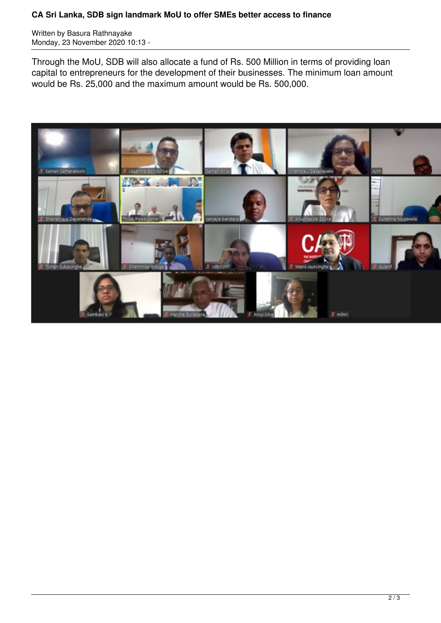Written by Basura Rathnayake Monday, 23 November 2020 10:13 -

Through the MoU, SDB will also allocate a fund of Rs. 500 Million in terms of providing loan capital to entrepreneurs for the development of their businesses. The minimum loan amount would be Rs. 25,000 and the maximum amount would be Rs. 500,000.